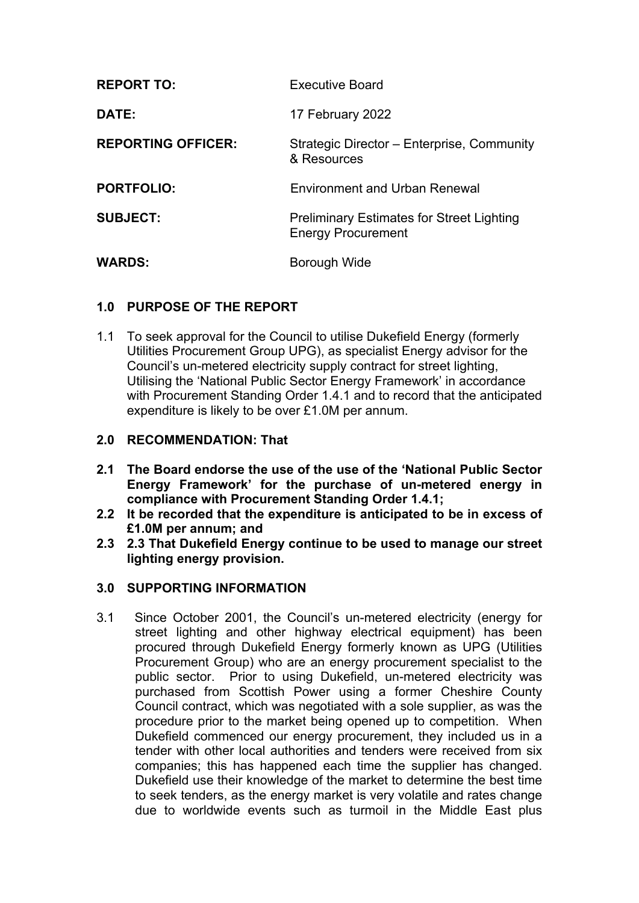| <b>REPORT TO:</b>         | Executive Board                                                               |
|---------------------------|-------------------------------------------------------------------------------|
| <b>DATE:</b>              | 17 February 2022                                                              |
| <b>REPORTING OFFICER:</b> | Strategic Director - Enterprise, Community<br>& Resources                     |
| <b>PORTFOLIO:</b>         | <b>Environment and Urban Renewal</b>                                          |
| <b>SUBJECT:</b>           | <b>Preliminary Estimates for Street Lighting</b><br><b>Energy Procurement</b> |
| <b>WARDS:</b>             | Borough Wide                                                                  |

# **1.0 PURPOSE OF THE REPORT**

1.1 To seek approval for the Council to utilise Dukefield Energy (formerly Utilities Procurement Group UPG), as specialist Energy advisor for the Council's un-metered electricity supply contract for street lighting, Utilising the 'National Public Sector Energy Framework' in accordance with Procurement Standing Order 1.4.1 and to record that the anticipated expenditure is likely to be over £1.0M per annum.

### **2.0 RECOMMENDATION: That**

- **2.1 The Board endorse the use of the use of the 'National Public Sector Energy Framework' for the purchase of un-metered energy in compliance with Procurement Standing Order 1.4.1;**
- **2.2 It be recorded that the expenditure is anticipated to be in excess of £1.0M per annum; and**
- **2.3 2.3 That Dukefield Energy continue to be used to manage our street lighting energy provision.**

### **3.0 SUPPORTING INFORMATION**

3.1 Since October 2001, the Council's un-metered electricity (energy for street lighting and other highway electrical equipment) has been procured through Dukefield Energy formerly known as UPG (Utilities Procurement Group) who are an energy procurement specialist to the public sector. Prior to using Dukefield, un-metered electricity was purchased from Scottish Power using a former Cheshire County Council contract, which was negotiated with a sole supplier, as was the procedure prior to the market being opened up to competition. When Dukefield commenced our energy procurement, they included us in a tender with other local authorities and tenders were received from six companies; this has happened each time the supplier has changed. Dukefield use their knowledge of the market to determine the best time to seek tenders, as the energy market is very volatile and rates change due to worldwide events such as turmoil in the Middle East plus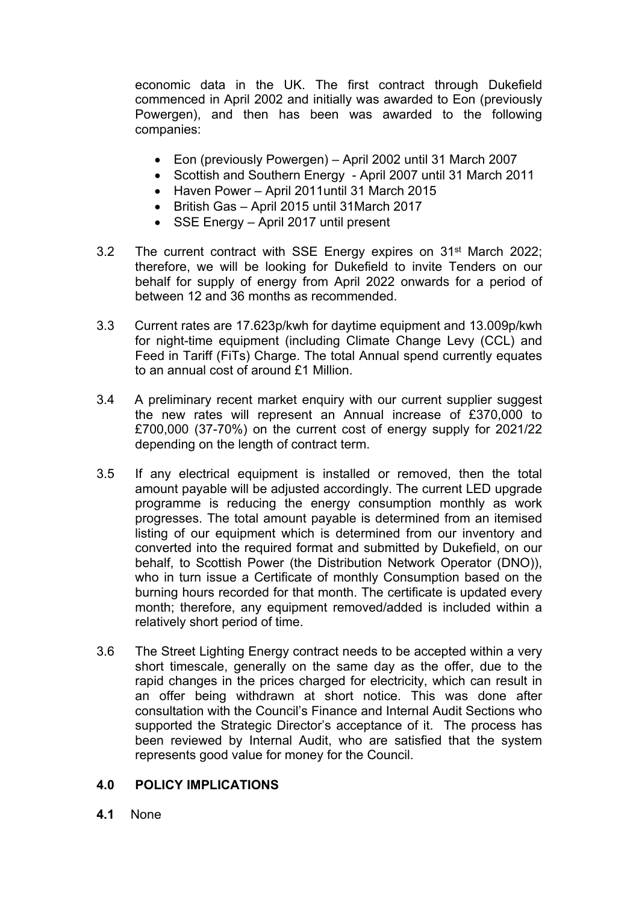economic data in the UK. The first contract through Dukefield commenced in April 2002 and initially was awarded to Eon (previously Powergen), and then has been was awarded to the following companies:

- Eon (previously Powergen) April 2002 until 31 March 2007
- Scottish and Southern Energy April 2007 until 31 March 2011
- Haven Power April 2011 until 31 March 2015
- British Gas April 2015 until 31March 2017
- SSE Energy April 2017 until present
- 3.2 The current contract with SSE Energy expires on 31<sup>st</sup> March 2022; therefore, we will be looking for Dukefield to invite Tenders on our behalf for supply of energy from April 2022 onwards for a period of between 12 and 36 months as recommended.
- 3.3 Current rates are 17.623p/kwh for daytime equipment and 13.009p/kwh for night-time equipment (including Climate Change Levy (CCL) and Feed in Tariff (FiTs) Charge. The total Annual spend currently equates to an annual cost of around £1 Million.
- 3.4 A preliminary recent market enquiry with our current supplier suggest the new rates will represent an Annual increase of £370,000 to £700,000 (37-70%) on the current cost of energy supply for 2021/22 depending on the length of contract term.
- 3.5 If any electrical equipment is installed or removed, then the total amount payable will be adjusted accordingly. The current LED upgrade programme is reducing the energy consumption monthly as work progresses. The total amount payable is determined from an itemised listing of our equipment which is determined from our inventory and converted into the required format and submitted by Dukefield, on our behalf, to Scottish Power (the Distribution Network Operator (DNO)), who in turn issue a Certificate of monthly Consumption based on the burning hours recorded for that month. The certificate is updated every month; therefore, any equipment removed/added is included within a relatively short period of time.
- 3.6 The Street Lighting Energy contract needs to be accepted within a very short timescale, generally on the same day as the offer, due to the rapid changes in the prices charged for electricity, which can result in an offer being withdrawn at short notice. This was done after consultation with the Council's Finance and Internal Audit Sections who supported the Strategic Director's acceptance of it. The process has been reviewed by Internal Audit, who are satisfied that the system represents good value for money for the Council.

# **4.0 POLICY IMPLICATIONS**

**4.1** None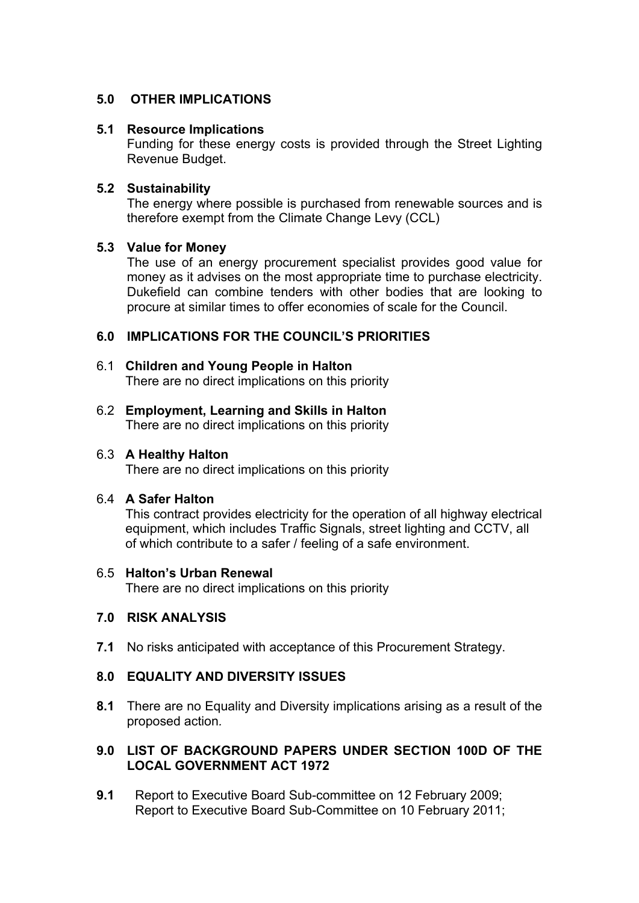# **5.0 OTHER IMPLICATIONS**

### **5.1 Resource Implications**

Funding for these energy costs is provided through the Street Lighting Revenue Budget.

#### **5.2 Sustainability**

The energy where possible is purchased from renewable sources and is therefore exempt from the Climate Change Levy (CCL)

#### **5.3 Value for Money**

The use of an energy procurement specialist provides good value for money as it advises on the most appropriate time to purchase electricity. Dukefield can combine tenders with other bodies that are looking to procure at similar times to offer economies of scale for the Council.

### **6.0 IMPLICATIONS FOR THE COUNCIL'S PRIORITIES**

- 6.1 **Children and Young People in Halton** There are no direct implications on this priority
- 6.2 **Employment, Learning and Skills in Halton** There are no direct implications on this priority

#### 6.3 **A Healthy Halton**

There are no direct implications on this priority

### 6.4 **A Safer Halton**

This contract provides electricity for the operation of all highway electrical equipment, which includes Traffic Signals, street lighting and CCTV, all of which contribute to a safer / feeling of a safe environment.

#### 6.5 **Halton's Urban Renewal**

There are no direct implications on this priority

#### **7.0 RISK ANALYSIS**

**7.1** No risks anticipated with acceptance of this Procurement Strategy.

### **8.0 EQUALITY AND DIVERSITY ISSUES**

**8.1** There are no Equality and Diversity implications arising as a result of the proposed action*.*

### **9.0 LIST OF BACKGROUND PAPERS UNDER SECTION 100D OF THE LOCAL GOVERNMENT ACT 1972**

**9.1** Report to Executive Board Sub-committee on 12 February 2009; Report to Executive Board Sub-Committee on 10 February 2011;